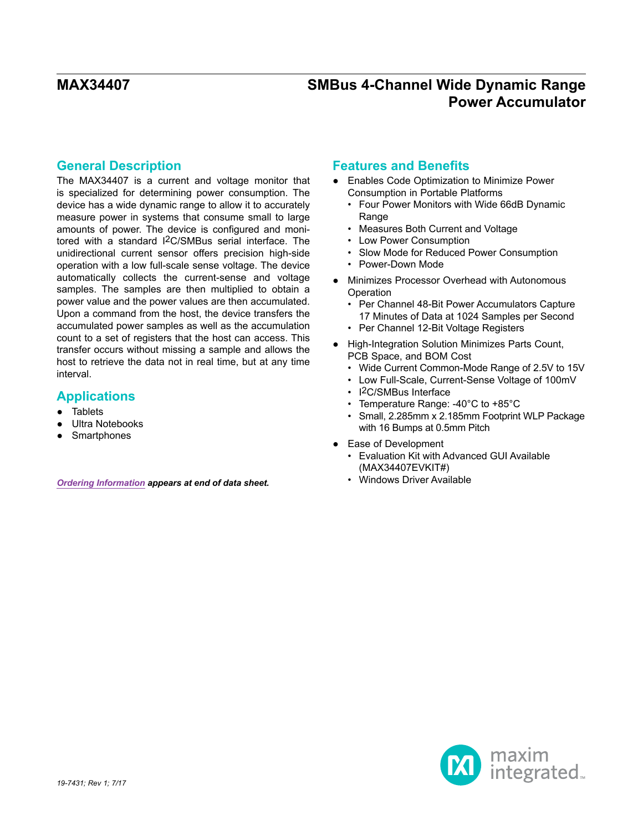## **General Description**

The MAX34407 is a current and voltage monitor that is specialized for determining power consumption. The device has a wide dynamic range to allow it to accurately measure power in systems that consume small to large amounts of power. The device is configured and monitored with a standard I2C/SMBus serial interface. The unidirectional current sensor offers precision high-side operation with a low full-scale sense voltage. The device automatically collects the current-sense and voltage samples. The samples are then multiplied to obtain a power value and the power values are then accumulated. Upon a command from the host, the device transfers the accumulated power samples as well as the accumulation count to a set of registers that the host can access. This transfer occurs without missing a sample and allows the host to retrieve the data not in real time, but at any time interval.

### **Applications**

- Tablets
- Ultra Notebooks
- **Smartphones**

**[Ordering Information](#page-15-0) appears at end of data sheet. 1996. The System System Section Available and System System** 

### **Features and Benefits**

- Enables Code Optimization to Minimize Power Consumption in Portable Platforms
	- Four Power Monitors with Wide 66dB Dynamic **Range**
	- Measures Both Current and Voltage
	- Low Power Consumption
	- Slow Mode for Reduced Power Consumption
	- Power-Down Mode
- Minimizes Processor Overhead with Autonomous **Operation** 
	- Per Channel 48-Bit Power Accumulators Capture 17 Minutes of Data at 1024 Samples per Second
	- Per Channel 12-Bit Voltage Registers
- High-Integration Solution Minimizes Parts Count, PCB Space, and BOM Cost
	- Wide Current Common-Mode Range of 2.5V to 15V
	- Low Full-Scale, Current-Sense Voltage of 100mV
	- I2C/SMBus Interface
	- Temperature Range: -40°C to +85°C
	- Small, 2.285mm x 2.185mm Footprint WLP Package with 16 Bumps at 0.5mm Pitch
- Ease of Development
	- Evaluation Kit with Advanced GUI Available (MAX34407EVKIT#)
	-

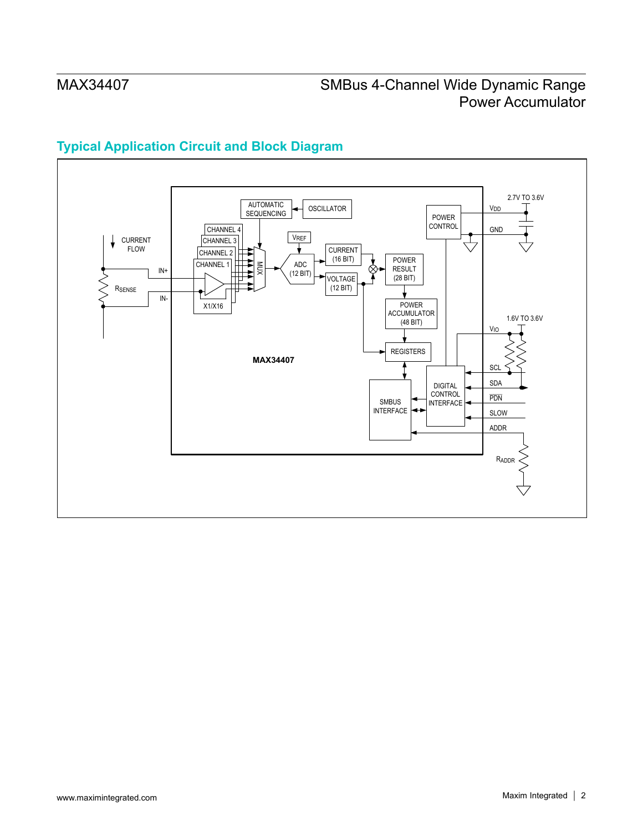

# **Typical Application Circuit and Block Diagram**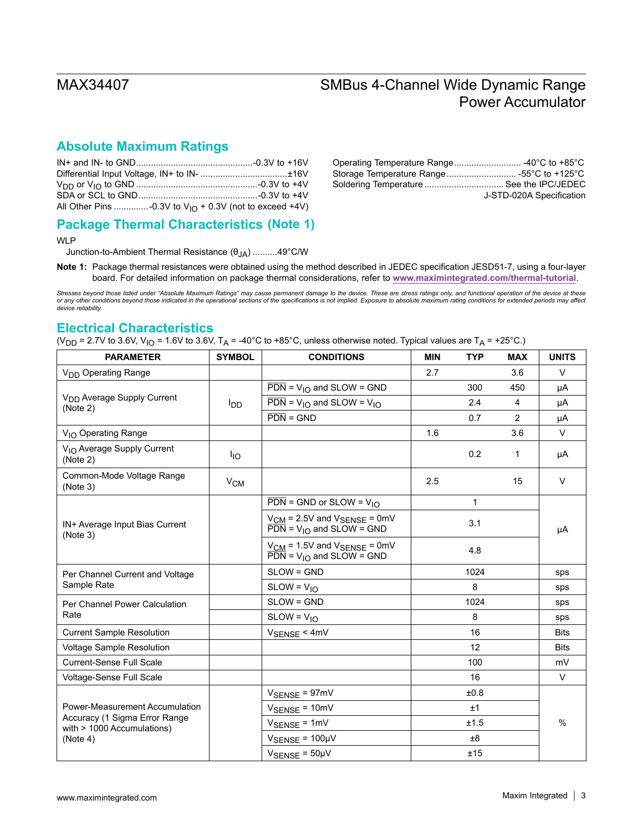## **Absolute Maximum Ratings**

| J-STD-020A Specification |
|--------------------------|

## **Package Thermal Characteristics (Note 1)**

WLP

Junction-to-Ambient Thermal Resistance (θJA) ..........49°C/W

**Note 1:** Package thermal resistances were obtained using the method described in JEDEC specification JESD51-7, using a four-layer board. For detailed information on package thermal considerations, refer to **[www.maximintegrated.com/thermal-tutorial](http://www.maximintegrated.com/thermal-tutorial)**.

*Stresses beyond those listed under "Absolute Maximum Ratings" may cause permanent damage to the device. These are stress ratings only, and functional operation of the device at these*  or any other conditions beyond those indicated in the operational sections of the specifications is not implied. Exposure to absolute maximum rating conditions for extended periods may affect<br>device reliability.

#### **Electrical Characteristics**

(V<sub>DD</sub> = 2.7V to 3.6V, V<sub>IO</sub> = 1.6V to 3.6V, T<sub>A</sub> = -40°C to +85°C, unless otherwise noted. Typical values are T<sub>A</sub> = +25°C.)

| <b>PARAMETER</b>                                              | <b>SYMBOL</b>          | <b>CONDITIONS</b>                                                                                | <b>MIN</b> | <b>TYP</b> | <b>MAX</b>     | <b>UNITS</b> |
|---------------------------------------------------------------|------------------------|--------------------------------------------------------------------------------------------------|------------|------------|----------------|--------------|
| V <sub>DD</sub> Operating Range                               |                        |                                                                                                  | 2.7        |            | 3.6            | $\vee$       |
|                                                               |                        | $\overline{PDN}$ = V <sub>IO</sub> and SLOW = GND                                                |            | 300        | 450            | μA           |
| V <sub>DD</sub> Average Supply Current<br>(Note 2)            | <b>I</b> <sub>DD</sub> | $\overline{PDN}$ = V <sub>IO</sub> and SLOW = V <sub>IO</sub>                                    |            | 2.4        | $\overline{4}$ | μA           |
|                                                               |                        | $\overline{PDN}$ = GND                                                                           |            | 0.7        | $\overline{2}$ | μA           |
| V <sub>IO</sub> Operating Range                               |                        |                                                                                                  | 1.6        |            | 3.6            | V            |
| V <sub>IO</sub> Average Supply Current<br>(Note 2)            | $I_{IO}$               |                                                                                                  |            | 0.2        | 1              | μA           |
| Common-Mode Voltage Range<br>(Note 3)                         | $V_{CM}$               |                                                                                                  | 2.5        |            | 15             | V            |
|                                                               |                        | $\overline{PDN}$ = GND or SLOW = $V_{1O}$                                                        |            | 1          |                |              |
| IN+ Average Input Bias Current<br>(Note 3)                    |                        | $V_{CM}$ = 2.5V and $V_{SENSE}$ = 0mV<br>$\overrightarrow{PDN}$ = V <sub>IO</sub> and SLOW = GND | 3.1<br>4.8 |            |                | μA           |
|                                                               |                        | $V_{CM}$ = 1.5V and $V_{SENSE}$ = 0mV<br>$\overline{PDN}$ = V <sub>IO</sub> and SLOW = GND       |            |            |                |              |
| Per Channel Current and Voltage                               |                        | SLOW = GND                                                                                       |            | 1024       |                | sps          |
| Sample Rate                                                   |                        | $SLOW = VIO$                                                                                     |            | 8          |                | sps          |
| Per Channel Power Calculation                                 |                        | $SLOW = GND$                                                                                     |            | 1024       |                | sps          |
| Rate                                                          |                        | $SLOW = V_{10}$                                                                                  |            | 8          |                | sps          |
| <b>Current Sample Resolution</b>                              |                        | $V_{\text{SENSE}}$ < 4mV                                                                         |            | 16         |                | <b>Bits</b>  |
| Voltage Sample Resolution                                     |                        |                                                                                                  |            | 12         |                | <b>Bits</b>  |
| <b>Current-Sense Full Scale</b>                               |                        |                                                                                                  |            | 100        |                | mV           |
| Voltage-Sense Full Scale                                      |                        |                                                                                                  |            | 16         |                | V            |
|                                                               |                        | $V_{\text{SENSE}} = 97 \text{mV}$                                                                |            | ±0.8       |                |              |
| Power-Measurement Accumulation                                |                        | $V_{\text{SENSE}} = 10 \text{mV}$                                                                | ±1         |            | $\frac{0}{0}$  |              |
| Accuracy (1 Sigma Error Range<br>with $> 1000$ Accumulations) |                        | $V_{\text{SENSE}} = 1 \text{mV}$                                                                 | ±1.5       |            |                |              |
| (Note 4)                                                      |                        | $V_{\text{SENSE}} = 100 \mu V$                                                                   |            | $\pm 8$    |                |              |
|                                                               |                        | $V_{\text{SENSE}} = 50 \mu V$                                                                    |            | ±15        |                |              |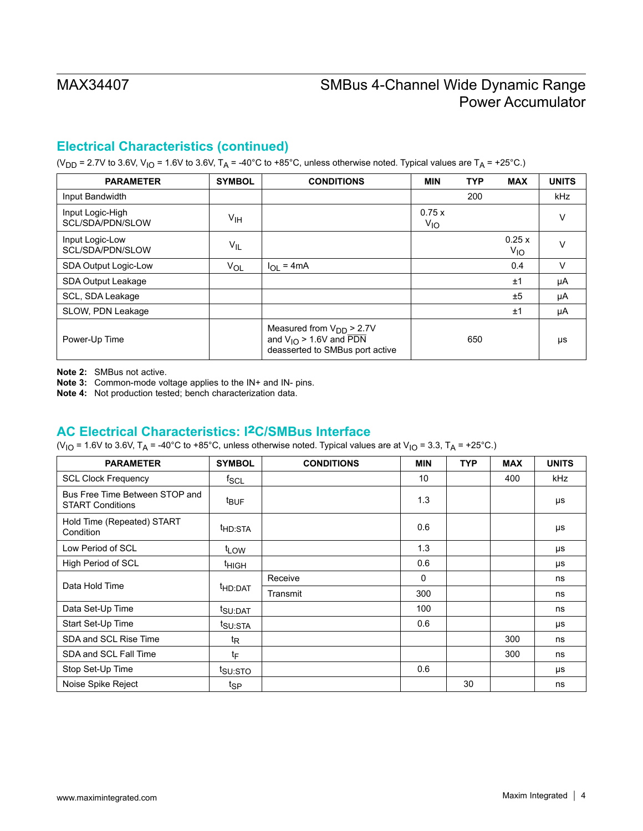## **Electrical Characteristics (continued)**

(V<sub>DD</sub> = 2.7V to 3.6V, V<sub>IO</sub> = 1.6V to 3.6V, T<sub>A</sub> = -40°C to +85°C, unless otherwise noted. Typical values are T<sub>A</sub> = +25°C.)

| <b>PARAMETER</b>                     | <b>SYMBOL</b>   | <b>CONDITIONS</b>                                                                                            | <b>MIN</b>        | <b>TYP</b> | <b>MAX</b>               | <b>UNITS</b> |
|--------------------------------------|-----------------|--------------------------------------------------------------------------------------------------------------|-------------------|------------|--------------------------|--------------|
| Input Bandwidth                      |                 |                                                                                                              |                   | 200        |                          | <b>kHz</b>   |
| Input Logic-High<br>SCL/SDA/PDN/SLOW | V <sub>IH</sub> |                                                                                                              | 0.75x<br>$V_{IO}$ |            |                          | v            |
| Input Logic-Low<br>SCL/SDA/PDN/SLOW  | $V_{IL}$        |                                                                                                              |                   |            | 0.25x<br>V <sub>IO</sub> |              |
| SDA Output Logic-Low                 | $V_{OL}$        | $I_{\text{OI}} = 4 \text{mA}$                                                                                |                   |            | 0.4                      | v            |
| SDA Output Leakage                   |                 |                                                                                                              |                   |            | ±1                       | μA           |
| SCL, SDA Leakage                     |                 |                                                                                                              |                   |            | ±5                       | μA           |
| SLOW, PDN Leakage                    |                 |                                                                                                              |                   |            | ±1                       | μA           |
| Power-Up Time                        |                 | Measured from $V_{DD}$ > 2.7V<br>and $V_{IO}$ > 1.6V and $\overline{PDN}$<br>deasserted to SMBus port active |                   | 650        |                          | μs           |

**Note 2:** SMBus not active.

**Note 3:** Common-mode voltage applies to the IN+ and IN- pins.

**Note 4:** Not production tested; bench characterization data.

### **AC Electrical Characteristics: I**2**C/SMBus Interface**

(V<sub>IO</sub> = 1.6V to 3.6V, T<sub>A</sub> = -40°C to +85°C, unless otherwise noted. Typical values are at V<sub>IO</sub> = 3.3, T<sub>A</sub> = +25°C.)

| <b>PARAMETER</b>                                          | <b>SYMBOL</b>       | <b>CONDITIONS</b> | <b>MIN</b>   | <b>TYP</b> | <b>MAX</b> | <b>UNITS</b> |
|-----------------------------------------------------------|---------------------|-------------------|--------------|------------|------------|--------------|
| <b>SCL Clock Frequency</b>                                | f <sub>SCL</sub>    |                   | 10           |            | 400        | kHz          |
| Bus Free Time Between STOP and<br><b>START Conditions</b> | t <sub>BUF</sub>    |                   | 1.3          |            |            | μs           |
| Hold Time (Repeated) START<br>Condition                   | <sup>t</sup> HD:STA |                   | 0.6          |            |            | μs           |
| Low Period of SCL                                         | t <sub>LOW</sub>    |                   | 1.3          |            |            | μs           |
| High Period of SCL                                        | <sup>t</sup> HIGH   |                   | 0.6          |            |            | μs           |
| Data Hold Time                                            |                     | Receive           | $\mathbf{0}$ |            |            | ns           |
|                                                           | <sup>t</sup> HD:DAT | Transmit          | 300          |            |            | ns           |
| Data Set-Up Time                                          | t <sub>SU:DAT</sub> |                   | 100          |            |            | ns           |
| Start Set-Up Time                                         | t <sub>SU:STA</sub> |                   | 0.6          |            |            | μs           |
| SDA and SCL Rise Time                                     | t <sub>R</sub>      |                   |              |            | 300        | ns           |
| SDA and SCL Fall Time                                     | tF                  |                   |              |            | 300        | ns           |
| Stop Set-Up Time                                          | t <sub>SU:STO</sub> |                   | 0.6          |            |            | μs           |
| Noise Spike Reject                                        | tsp                 |                   |              | 30         |            | ns           |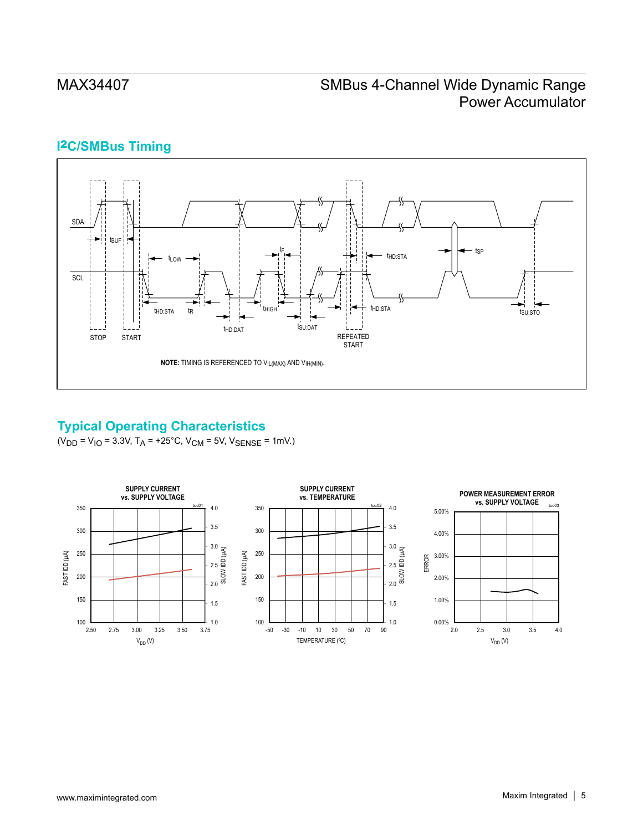## **I**2**C/SMBus Timing**



## **Typical Operating Characteristics**

 $(V_{DD} = V_{10} = 3.3V, T_A = +25°C, V_{CM} = 5V, V_{SENSE} = 1mV.$ 

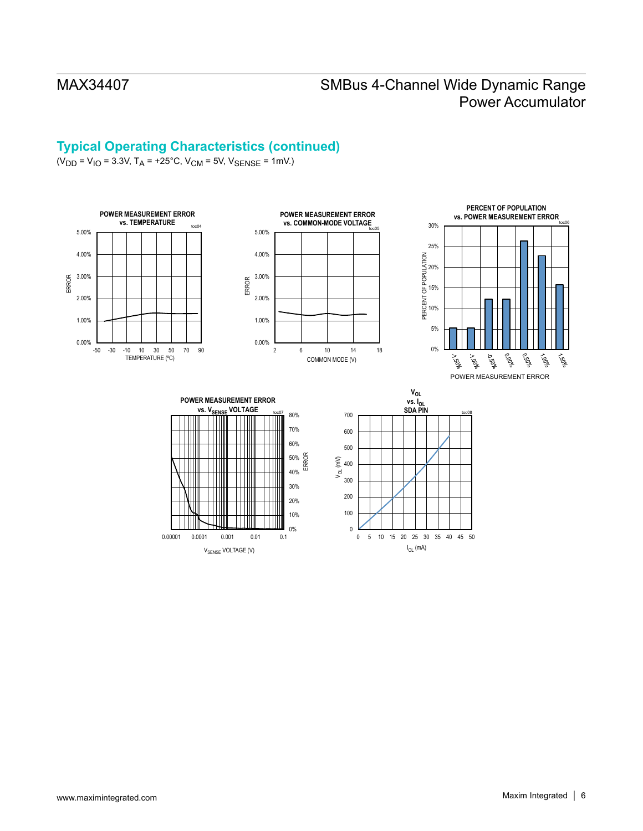## **Typical Operating Characteristics (continued)**

 $(V_{DD} = V_{1O} = 3.3V$ ,  $T_A = +25^{\circ}$ C,  $V_{CM} = 5V$ ,  $V_{SENSE} = 1$ mV.)



0% 10%

0.00001 0.0001 0.001 0.01 0.1

 $V_{\text{SENSE}}$  VOLTAGE (V)

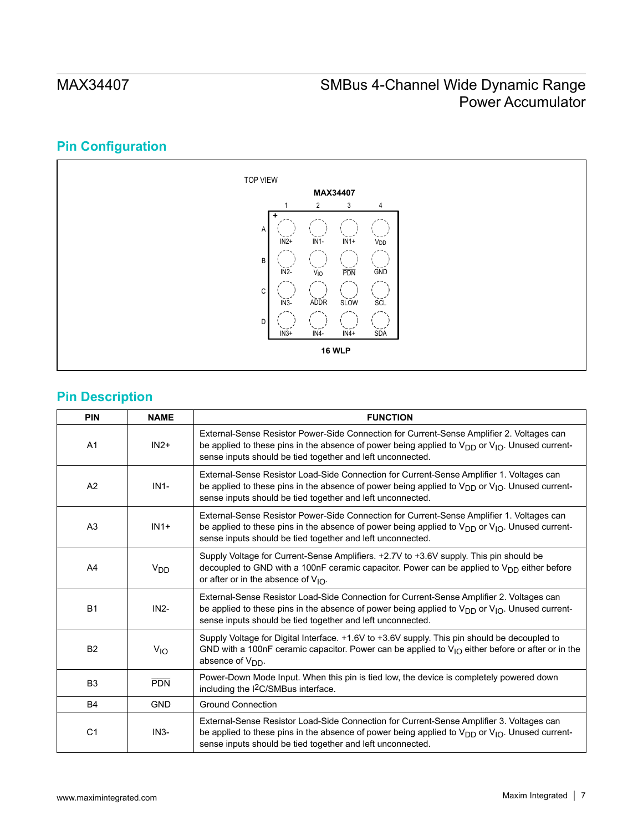# **Pin Configuration**



## **Pin Description**

| <b>PIN</b>     | <b>NAME</b>           | <b>FUNCTION</b>                                                                                                                                                                                                                                                     |
|----------------|-----------------------|---------------------------------------------------------------------------------------------------------------------------------------------------------------------------------------------------------------------------------------------------------------------|
| A <sub>1</sub> | $IN2+$                | External-Sense Resistor Power-Side Connection for Current-Sense Amplifier 2. Voltages can<br>be applied to these pins in the absence of power being applied to $V_{DD}$ or $V_{IO}$ . Unused current-<br>sense inputs should be tied together and left unconnected. |
| A2             | $IN1-$                | External-Sense Resistor Load-Side Connection for Current-Sense Amplifier 1. Voltages can<br>be applied to these pins in the absence of power being applied to $V_{DD}$ or $V_{IO}$ . Unused current-<br>sense inputs should be tied together and left unconnected.  |
| A <sub>3</sub> | $IN1+$                | External-Sense Resistor Power-Side Connection for Current-Sense Amplifier 1. Voltages can<br>be applied to these pins in the absence of power being applied to $V_{DD}$ or $V_{1O}$ . Unused current-<br>sense inputs should be tied together and left unconnected. |
| A4             | <b>V<sub>DD</sub></b> | Supply Voltage for Current-Sense Amplifiers. +2.7V to +3.6V supply. This pin should be<br>decoupled to GND with a 100nF ceramic capacitor. Power can be applied to $V_{DD}$ either before<br>or after or in the absence of $V_{10}$ .                               |
| <b>B1</b>      | $IN2-$                | External-Sense Resistor Load-Side Connection for Current-Sense Amplifier 2. Voltages can<br>be applied to these pins in the absence of power being applied to $V_{DD}$ or $V_{IO}$ . Unused current-<br>sense inputs should be tied together and left unconnected.  |
| <b>B2</b>      | $V_{IO}$              | Supply Voltage for Digital Interface. +1.6V to +3.6V supply. This pin should be decoupled to<br>GND with a 100nF ceramic capacitor. Power can be applied to $V_{1O}$ either before or after or in the<br>absence of V <sub>DD</sub> .                               |
| B <sub>3</sub> | <b>PDN</b>            | Power-Down Mode Input. When this pin is tied low, the device is completely powered down<br>including the I <sup>2</sup> C/SMBus interface.                                                                                                                          |
| <b>B4</b>      | <b>GND</b>            | <b>Ground Connection</b>                                                                                                                                                                                                                                            |
| C <sub>1</sub> | $IN3-$                | External-Sense Resistor Load-Side Connection for Current-Sense Amplifier 3. Voltages can<br>be applied to these pins in the absence of power being applied to $V_{DD}$ or $V_{IO}$ . Unused current-<br>sense inputs should be tied together and left unconnected.  |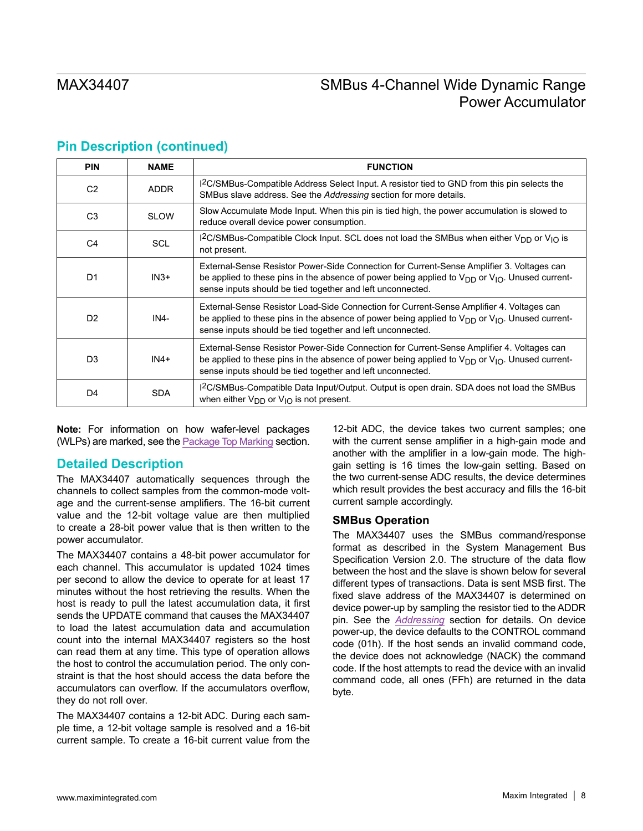| <b>PIN</b>     | <b>NAME</b> | <b>FUNCTION</b>                                                                                                                                                                                                                                                     |
|----------------|-------------|---------------------------------------------------------------------------------------------------------------------------------------------------------------------------------------------------------------------------------------------------------------------|
| C2             | <b>ADDR</b> | I <sup>2</sup> C/SMBus-Compatible Address Select Input. A resistor tied to GND from this pin selects the<br>SMBus slave address. See the Addressing section for more details.                                                                                       |
| C <sub>3</sub> | <b>SLOW</b> | Slow Accumulate Mode Input. When this pin is tied high, the power accumulation is slowed to<br>reduce overall device power consumption.                                                                                                                             |
| C <sub>4</sub> | <b>SCL</b>  | $1^2$ C/SMBus-Compatible Clock Input. SCL does not load the SMBus when either V <sub>DD</sub> or V <sub>IO</sub> is<br>not present.                                                                                                                                 |
| D <sub>1</sub> | $IN3+$      | External-Sense Resistor Power-Side Connection for Current-Sense Amplifier 3. Voltages can<br>be applied to these pins in the absence of power being applied to $V_{DD}$ or $V_{10}$ . Unused current-<br>sense inputs should be tied together and left unconnected. |
| D <sub>2</sub> | IN4-        | External-Sense Resistor Load-Side Connection for Current-Sense Amplifier 4. Voltages can<br>be applied to these pins in the absence of power being applied to $V_{DD}$ or $V_{10}$ . Unused current-<br>sense inputs should be tied together and left unconnected.  |
| D <sub>3</sub> | $IN4+$      | External-Sense Resistor Power-Side Connection for Current-Sense Amplifier 4. Voltages can<br>be applied to these pins in the absence of power being applied to $V_{DD}$ or $V_{10}$ . Unused current-<br>sense inputs should be tied together and left unconnected. |
| D4             | <b>SDA</b>  | I <sup>2</sup> C/SMBus-Compatible Data Input/Output. Output is open drain. SDA does not load the SMBus<br>when either $V_{DD}$ or $V_{1O}$ is not present.                                                                                                          |

## **Pin Description (continued)**

**Note:** For information on how wafer-level packages (WLPs) are marked, see the [Package Top Marking](#page-15-1) section.

### **Detailed Description**

The MAX34407 automatically sequences through the channels to collect samples from the common-mode voltage and the current-sense amplifiers. The 16-bit current value and the 12-bit voltage value are then multiplied to create a 28-bit power value that is then written to the power accumulator.

The MAX34407 contains a 48-bit power accumulator for each channel. This accumulator is updated 1024 times per second to allow the device to operate for at least 17 minutes without the host retrieving the results. When the host is ready to pull the latest accumulation data, it first sends the UPDATE command that causes the MAX34407 to load the latest accumulation data and accumulation count into the internal MAX34407 registers so the host can read them at any time. This type of operation allows the host to control the accumulation period. The only constraint is that the host should access the data before the accumulators can overflow. If the accumulators overflow, they do not roll over.

The MAX34407 contains a 12-bit ADC. During each sample time, a 12-bit voltage sample is resolved and a 16-bit current sample. To create a 16-bit current value from the

12-bit ADC, the device takes two current samples; one with the current sense amplifier in a high-gain mode and another with the amplifier in a low-gain mode. The highgain setting is 16 times the low-gain setting. Based on the two current-sense ADC results, the device determines which result provides the best accuracy and fills the 16-bit current sample accordingly.

#### **SMBus Operation**

The MAX34407 uses the SMBus command/response format as described in the System Management Bus Specification Version 2.0. The structure of the data flow between the host and the slave is shown below for several different types of transactions. Data is sent MSB first. The fixed slave address of the MAX34407 is determined on device power-up by sampling the resistor tied to the ADDR pin. See the *[Addressing](#page-9-0)* section for details. On device power-up, the device defaults to the CONTROL command code (01h). If the host sends an invalid command code, the device does not acknowledge (NACK) the command code. If the host attempts to read the device with an invalid command code, all ones (FFh) are returned in the data byte.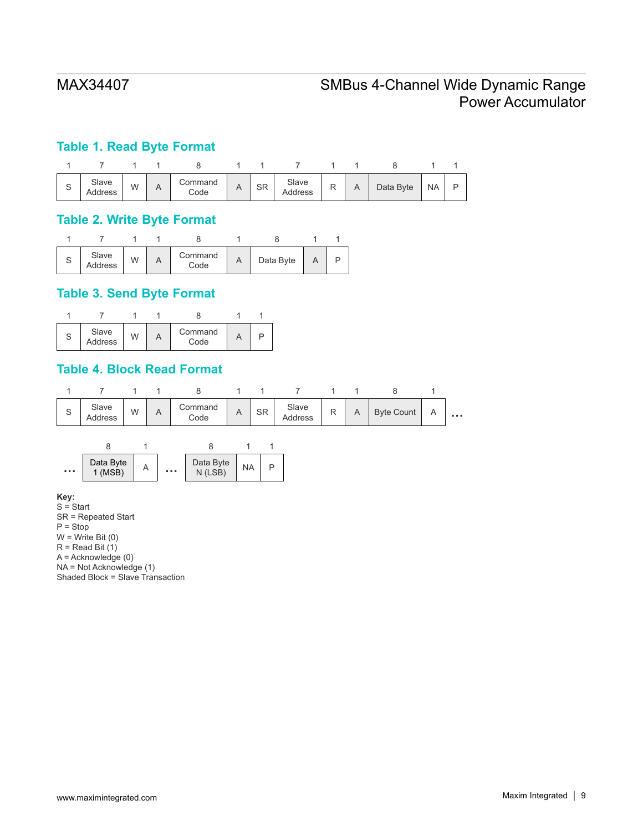## **Table 1. Read Byte Format**



### **Table 2. Write Byte Format**

| ৩ | Slave<br>Address | W | Command<br>Code | $\sim$ | Data Byte |  |
|---|------------------|---|-----------------|--------|-----------|--|

## **Table 3. Send Byte Format**



## **Table 4. Block Read Format**



**Key:**

 $S =$ Start SR = Repeated Start  $\overline{P}$  = Stop  $W = Write Bit(0)$  $R$  = Read Bit  $(1)$ A = Acknowledge (0) NA = Not Acknowledge (1) Shaded Block = Slave Transaction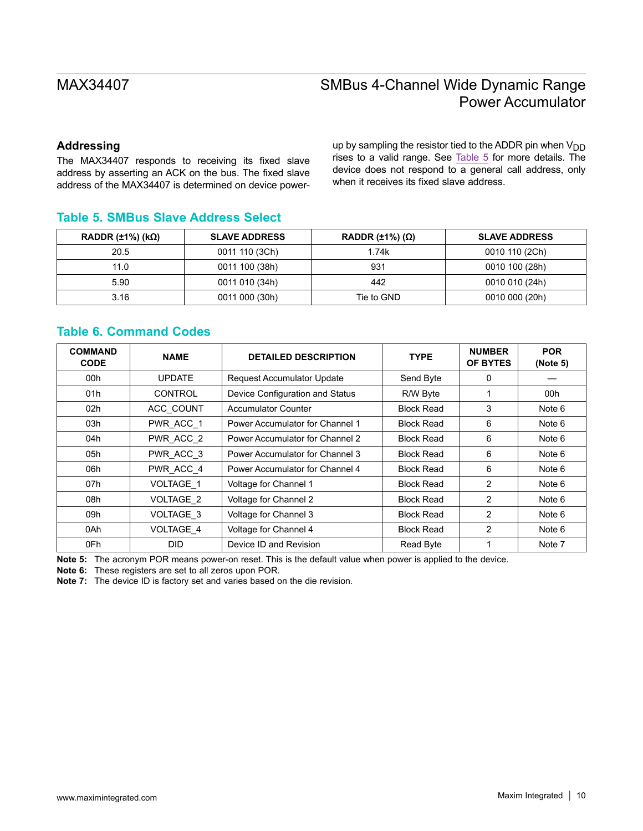### <span id="page-9-0"></span>**Addressing**

The MAX34407 responds to receiving its fixed slave address by asserting an ACK on the bus. The fixed slave address of the MAX34407 is determined on device powerup by sampling the resistor tied to the ADDR pin when  $V_{DD}$ rises to a valid range. See [Table 5](#page-9-1) for more details. The device does not respond to a general call address, only when it receives its fixed slave address.

## <span id="page-9-1"></span>**Table 5. SMBus Slave Address Select**

| RADDR $(\pm 1\%)$ (kΩ) | <b>SLAVE ADDRESS</b> | RADDR $(\pm 1\%) (\Omega)$ | <b>SLAVE ADDRESS</b> |
|------------------------|----------------------|----------------------------|----------------------|
| 20.5                   | 0011 110 (3Ch)       | 1.74k                      | 0010 110 (2Ch)       |
| 11.0                   | 0011 100 (38h)       | 931                        | 0010 100 (28h)       |
| 5.90                   | 0011 010 (34h)       | 442                        | 0010 010 (24h)       |
| 3.16                   | 0011 000 (30h)       | Tie to GND                 | 0010 000 (20h)       |

## **Table 6. Command Codes**

| <b>COMMAND</b><br><b>CODE</b> | <b>NAME</b>          | <b>DETAILED DESCRIPTION</b>       | <b>TYPE</b>       | <b>NUMBER</b><br>OF BYTES | <b>POR</b><br>(Note 5) |
|-------------------------------|----------------------|-----------------------------------|-------------------|---------------------------|------------------------|
| 00h                           | <b>UPDATE</b>        | <b>Request Accumulator Update</b> | Send Byte         | 0                         |                        |
| 01h                           | <b>CONTROL</b>       | Device Configuration and Status   | R/W Byte          |                           | 00h                    |
| 02h                           | ACC_COUNT            | <b>Accumulator Counter</b>        | <b>Block Read</b> | 3                         | Note 6                 |
| 03h                           | PWR ACC 1            | Power Accumulator for Channel 1   | <b>Block Read</b> | 6                         | Note 6                 |
| 04h                           | PWR_ACC_2            | Power Accumulator for Channel 2   | <b>Block Read</b> | 6                         | Note 6                 |
| 05h                           | PWR_ACC_3            | Power Accumulator for Channel 3   | <b>Block Read</b> | 6                         | Note 6                 |
| 06h                           | PWR_ACC_4            | Power Accumulator for Channel 4   | <b>Block Read</b> | 6                         | Note 6                 |
| 07h                           | VOLTAGE <sub>1</sub> | Voltage for Channel 1             | <b>Block Read</b> | 2                         | Note 6                 |
| 08h                           | <b>VOLTAGE 2</b>     | Voltage for Channel 2             | <b>Block Read</b> | 2                         | Note 6                 |
| 09h                           | VOLTAGE 3            | Voltage for Channel 3             | <b>Block Read</b> | 2                         | Note 6                 |
| 0Ah                           | <b>VOLTAGE 4</b>     | Voltage for Channel 4             | <b>Block Read</b> | $\mathcal{P}$             | Note 6                 |
| 0Fh                           | <b>DID</b>           | Device ID and Revision            | Read Byte         |                           | Note 7                 |

**Note 5:** The acronym POR means power-on reset. This is the default value when power is applied to the device.

**Note 6:** These registers are set to all zeros upon POR.

**Note 7:** The device ID is factory set and varies based on the die revision.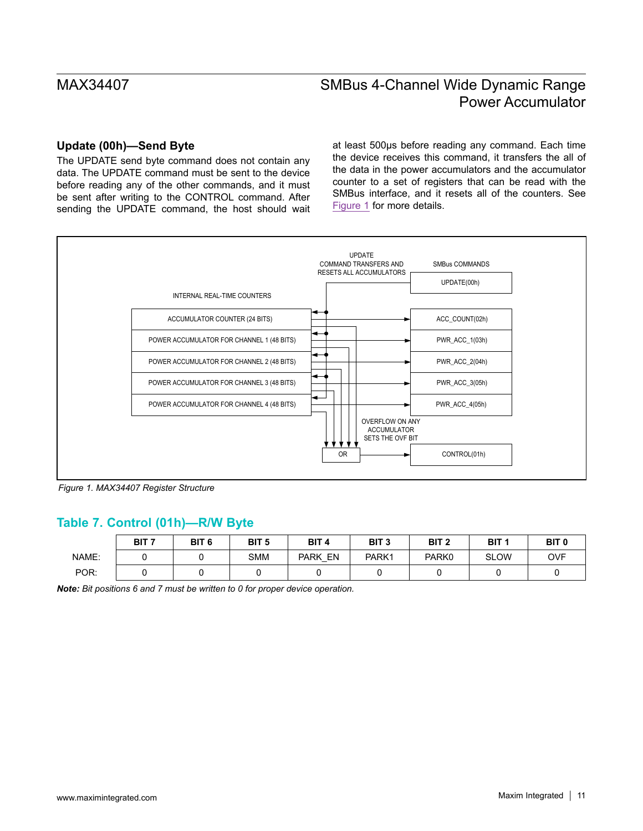### **Update (00h)—Send Byte**

The UPDATE send byte command does not contain any data. The UPDATE command must be sent to the device before reading any of the other commands, and it must be sent after writing to the CONTROL command. After sending the UPDATE command, the host should wait at least 500µs before reading any command. Each time the device receives this command, it transfers the all of the data in the power accumulators and the accumulator counter to a set of registers that can be read with the SMBus interface, and it resets all of the counters. See [Figure 1](#page-10-0) for more details.

<span id="page-10-0"></span>

*Figure 1. MAX34407 Register Structure*

## **Table 7. Control (01h)—R/W Byte**

|       | BIT <sub>7</sub> | BIT <sub>6</sub> | BIT <sub>5</sub> | BIT <sub>4</sub>  | BIT <sub>3</sub> | BIT <sub>2</sub> | BIT <sub>1</sub> | BIT <sub>0</sub> |
|-------|------------------|------------------|------------------|-------------------|------------------|------------------|------------------|------------------|
| NAME: |                  |                  | <b>SMM</b>       | EN<br><b>PARK</b> | PARK1            | PARK0            | <b>SLOW</b>      | <b>OVF</b>       |
| POR:  |                  |                  |                  |                   |                  |                  |                  |                  |

*Note: Bit positions 6 and 7 must be written to 0 for proper device operation.*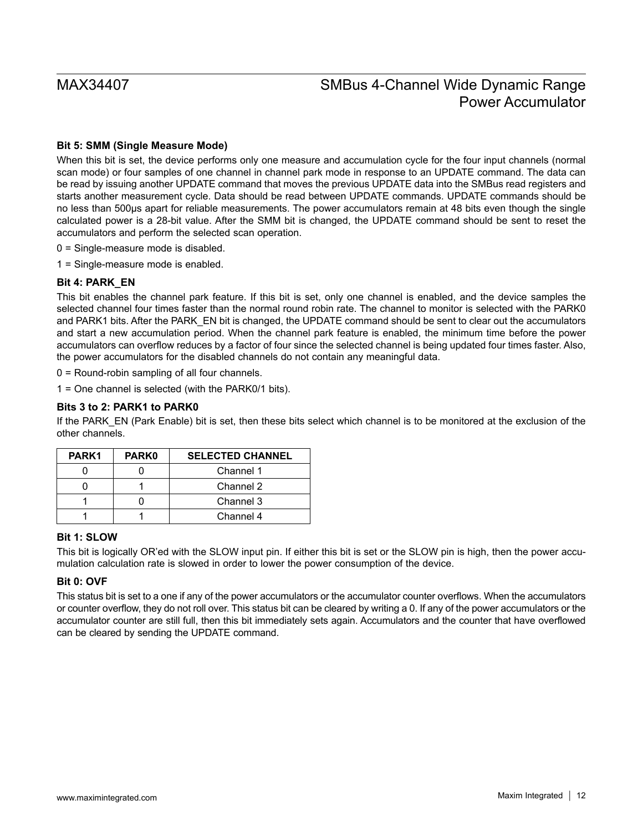#### **Bit 5: SMM (Single Measure Mode)**

When this bit is set, the device performs only one measure and accumulation cycle for the four input channels (normal scan mode) or four samples of one channel in channel park mode in response to an UPDATE command. The data can be read by issuing another UPDATE command that moves the previous UPDATE data into the SMBus read registers and starts another measurement cycle. Data should be read between UPDATE commands. UPDATE commands should be no less than 500µs apart for reliable measurements. The power accumulators remain at 48 bits even though the single calculated power is a 28-bit value. After the SMM bit is changed, the UPDATE command should be sent to reset the accumulators and perform the selected scan operation.

- 0 = Single-measure mode is disabled.
- 1 = Single-measure mode is enabled.

#### **Bit 4: PARK\_EN**

This bit enables the channel park feature. If this bit is set, only one channel is enabled, and the device samples the selected channel four times faster than the normal round robin rate. The channel to monitor is selected with the PARK0 and PARK1 bits. After the PARK\_EN bit is changed, the UPDATE command should be sent to clear out the accumulators and start a new accumulation period. When the channel park feature is enabled, the minimum time before the power accumulators can overflow reduces by a factor of four since the selected channel is being updated four times faster. Also, the power accumulators for the disabled channels do not contain any meaningful data.

0 = Round-robin sampling of all four channels.

1 = One channel is selected (with the PARK0/1 bits).

#### **Bits 3 to 2: PARK1 to PARK0**

If the PARK\_EN (Park Enable) bit is set, then these bits select which channel is to be monitored at the exclusion of the other channels.

| PARK1 | <b>PARK0</b> | <b>SELECTED CHANNEL</b> |
|-------|--------------|-------------------------|
|       |              | Channel 1               |
|       |              | Channel 2               |
|       |              | Channel 3               |
|       |              | Channel 4               |

### **Bit 1: SLOW**

This bit is logically OR'ed with the SLOW input pin. If either this bit is set or the SLOW pin is high, then the power accumulation calculation rate is slowed in order to lower the power consumption of the device.

#### **Bit 0: OVF**

This status bit is set to a one if any of the power accumulators or the accumulator counter overflows. When the accumulators or counter overflow, they do not roll over. This status bit can be cleared by writing a 0. If any of the power accumulators or the accumulator counter are still full, then this bit immediately sets again. Accumulators and the counter that have overflowed can be cleared by sending the UPDATE command.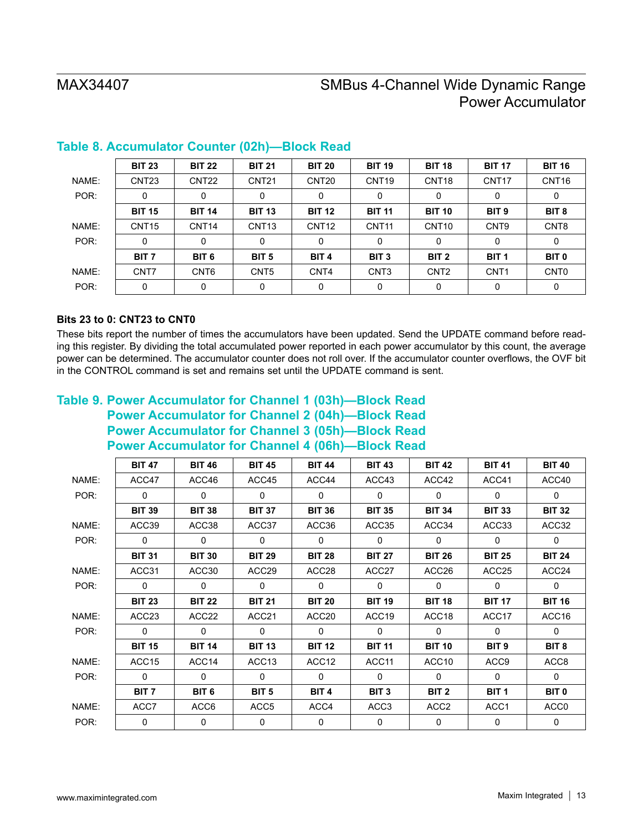|       | <b>BIT 23</b>     | <b>BIT 22</b>     | <b>BIT 21</b>     | <b>BIT 20</b>     | <b>BIT 19</b>     | <b>BIT 18</b>     | <b>BIT 17</b>     | <b>BIT 16</b>     |
|-------|-------------------|-------------------|-------------------|-------------------|-------------------|-------------------|-------------------|-------------------|
| NAME: | CNT <sub>23</sub> | CNT <sub>22</sub> | CNT <sub>21</sub> | CNT <sub>20</sub> | CNT <sub>19</sub> | CNT <sub>18</sub> | CNT <sub>17</sub> | CNT <sub>16</sub> |
| POR:  | 0                 | 0                 | 0                 | 0                 | 0                 | 0                 | 0                 | 0                 |
|       | <b>BIT 15</b>     | <b>BIT 14</b>     | <b>BIT 13</b>     | <b>BIT 12</b>     | <b>BIT 11</b>     | <b>BIT 10</b>     | BIT <sub>9</sub>  | BIT <sub>8</sub>  |
| NAME: | CNT <sub>15</sub> | CNT <sub>14</sub> | CNT <sub>13</sub> | CNT <sub>12</sub> | CNT <sub>11</sub> | CNT <sub>10</sub> | CNT <sub>9</sub>  | CNT <sub>8</sub>  |
| POR:  | 0                 | 0                 | 0                 | 0                 | 0                 | 0                 | 0                 | 0                 |
|       | BIT <sub>7</sub>  | BIT <sub>6</sub>  | BIT <sub>5</sub>  | BIT <sub>4</sub>  | BIT <sub>3</sub>  | BIT <sub>2</sub>  | BIT <sub>1</sub>  | <b>BIT 0</b>      |
| NAME: | CNT7              | CNT <sub>6</sub>  | CNT <sub>5</sub>  | CNT4              | CNT <sub>3</sub>  | CNT <sub>2</sub>  | CNT <sub>1</sub>  | CNT <sub>0</sub>  |
| POR:  | 0                 | 0                 | 0                 | 0                 | 0                 | 0                 | 0                 | 0                 |

## **Table 8. Accumulator Counter (02h)—Block Read**

### **Bits 23 to 0: CNT23 to CNT0**

These bits report the number of times the accumulators have been updated. Send the UPDATE command before reading this register. By dividing the total accumulated power reported in each power accumulator by this count, the average power can be determined. The accumulator counter does not roll over. If the accumulator counter overflows, the OVF bit in the CONTROL command is set and remains set until the UPDATE command is sent.

## **Table 9. Power Accumulator for Channel 1 (03h)—Block Read Power Accumulator for Channel 2 (04h)—Block Read Power Accumulator for Channel 3 (05h)—Block Read Power Accumulator for Channel 4 (06h)—Block Read**

|       | <b>BIT 47</b>     | <b>BIT 46</b>    | <b>BIT 45</b>     | <b>BIT 44</b>     | <b>BIT 43</b>     | <b>BIT 42</b>     | <b>BIT 41</b>    | <b>BIT 40</b>    |
|-------|-------------------|------------------|-------------------|-------------------|-------------------|-------------------|------------------|------------------|
| NAME: | ACC47             | ACC46            | ACC45             | ACC44             | ACC43             | ACC42             | ACC41            | ACC40            |
| POR:  | $\mathbf{0}$      | $\mathbf{0}$     | $\mathbf{0}$      | $\mathbf{0}$      | $\mathbf{0}$      | $\mathbf{0}$      | $\mathbf{0}$     | $\mathbf{0}$     |
|       | <b>BIT 39</b>     | <b>BIT 38</b>    | <b>BIT 37</b>     | <b>BIT 36</b>     | <b>BIT 35</b>     | <b>BIT 34</b>     | <b>BIT 33</b>    | <b>BIT 32</b>    |
| NAME: | ACC39             | ACC38            | ACC37             | ACC36             | ACC35             | ACC34             | ACC33            | ACC32            |
| POR:  | $\Omega$          | $\mathbf{0}$     | $\Omega$          | $\mathbf{0}$      | $\Omega$          | $\mathbf{0}$      | $\Omega$         | $\mathbf{0}$     |
|       | <b>BIT 31</b>     | <b>BIT 30</b>    | <b>BIT 29</b>     | <b>BIT 28</b>     | <b>BIT 27</b>     | <b>BIT 26</b>     | <b>BIT 25</b>    | <b>BIT 24</b>    |
| NAME: | ACC31             | ACC30            | ACC <sub>29</sub> | ACC <sub>28</sub> | ACC27             | ACC <sub>26</sub> | ACC25            | ACC24            |
| POR:  | $\Omega$          | $\Omega$         | $\mathbf{0}$      | $\mathbf{0}$      | $\Omega$          | $\Omega$          | $\mathbf{0}$     | $\mathbf{0}$     |
|       | <b>BIT 23</b>     | <b>BIT 22</b>    | <b>BIT 21</b>     | <b>BIT 20</b>     | <b>BIT 19</b>     | <b>BIT 18</b>     | <b>BIT 17</b>    | <b>BIT 16</b>    |
| NAME: | ACC <sub>23</sub> | ACC22            | ACC21             | ACC <sub>20</sub> | ACC <sub>19</sub> | ACC <sub>18</sub> | ACC17            | ACC16            |
| POR:  | $\mathbf{0}$      | $\mathbf{0}$     | $\mathbf{0}$      | 0                 | $\mathbf{0}$      | $\mathbf{0}$      | $\mathbf{0}$     | $\mathbf{0}$     |
|       | <b>BIT 15</b>     | <b>BIT 14</b>    | <b>BIT 13</b>     | <b>BIT 12</b>     | <b>BIT 11</b>     | <b>BIT 10</b>     | BIT <sub>9</sub> | BIT <sub>8</sub> |
| NAME: | ACC <sub>15</sub> | ACC14            | ACC <sub>13</sub> | ACC <sub>12</sub> | ACC11             | ACC10             | ACC <sub>9</sub> | ACC8             |
| POR:  | $\mathbf{0}$      | $\mathbf{0}$     | $\Omega$          | $\mathbf{0}$      | $\Omega$          | $\Omega$          | $\Omega$         | $\Omega$         |
|       | BIT <sub>7</sub>  | BIT <sub>6</sub> | BIT <sub>5</sub>  | BIT <sub>4</sub>  | BIT <sub>3</sub>  | BIT <sub>2</sub>  | BIT <sub>1</sub> | BIT <sub>0</sub> |
| NAME: | ACC7              | ACC6             | ACC <sub>5</sub>  | ACC4              | ACC3              | ACC <sub>2</sub>  | ACC1             | ACC0             |
| POR:  | 0                 | 0                | 0                 | 0                 | 0                 | 0                 | 0                | 0                |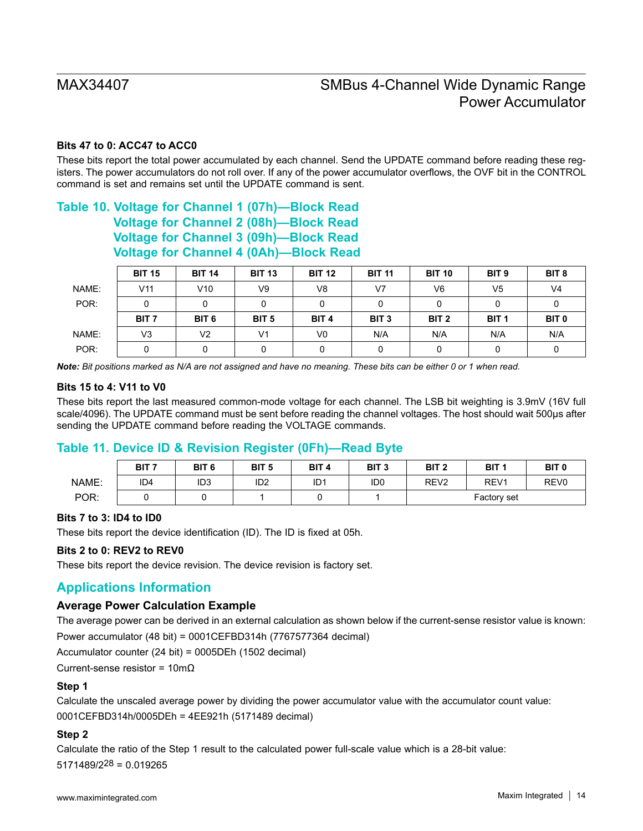#### **Bits 47 to 0: ACC47 to ACC0**

These bits report the total power accumulated by each channel. Send the UPDATE command before reading these registers. The power accumulators do not roll over. If any of the power accumulator overflows, the OVF bit in the CONTROL command is set and remains set until the UPDATE command is sent.

## **Table 10. Voltage for Channel 1 (07h)—Block Read Voltage for Channel 2 (08h)—Block Read Voltage for Channel 3 (09h)—Block Read Voltage for Channel 4 (0Ah)—Block Read**

|       | <b>BIT 15</b>    | <b>BIT 14</b>    | <b>BIT 13</b>    | <b>BIT 12</b>    | <b>BIT 11</b>    | <b>BIT 10</b>    | BIT <sub>9</sub> | BIT <sub>8</sub> |
|-------|------------------|------------------|------------------|------------------|------------------|------------------|------------------|------------------|
| NAME: | V <sub>11</sub>  | V10              | V9               | V8               | V7               | V6               | V <sub>5</sub>   | V <sub>4</sub>   |
| POR:  |                  |                  |                  | 0                |                  |                  |                  | υ                |
|       | BIT <sub>7</sub> | BIT <sub>6</sub> | BIT <sub>5</sub> | BIT <sub>4</sub> | BIT <sub>3</sub> | BIT <sub>2</sub> | BIT <sub>1</sub> | BIT <sub>0</sub> |
| NAME: | V3               | V2               | V <sub>1</sub>   | V0               | N/A              | N/A              | N/A              | N/A              |
| POR:  |                  |                  |                  |                  |                  |                  |                  |                  |

*Note: Bit positions marked as N/A are not assigned and have no meaning. These bits can be either 0 or 1 when read.*

#### **Bits 15 to 4: V11 to V0**

These bits report the last measured common-mode voltage for each channel. The LSB bit weighting is 3.9mV (16V full scale/4096). The UPDATE command must be sent before reading the channel voltages. The host should wait 500µs after sending the UPDATE command before reading the VOLTAGE commands.

### **Table 11. Device ID & Revision Register (0Fh)—Read Byte**

|       | BIT <sub>7</sub> | BIT <sub>6</sub> | BIT <sub>5</sub> | BIT <sub>4</sub> | BIT <sub>3</sub> | BIT <sub>2</sub> | BIT <sub>1</sub> | BIT <sub>0</sub> |
|-------|------------------|------------------|------------------|------------------|------------------|------------------|------------------|------------------|
| NAME: | ID <sub>4</sub>  | ID3              | ID <sub>2</sub>  | ID <sub>1</sub>  | ID <sub>0</sub>  | REV <sub>2</sub> | REV <sub>1</sub> | REV <sub>0</sub> |
| POR:  |                  |                  |                  |                  |                  | Factory set      |                  |                  |

#### **Bits 7 to 3: ID4 to ID0**

These bits report the device identification (ID). The ID is fixed at 05h.

#### **Bits 2 to 0: REV2 to REV0**

These bits report the device revision. The device revision is factory set.

### **Applications Information**

#### **Average Power Calculation Example**

The average power can be derived in an external calculation as shown below if the current-sense resistor value is known: Power accumulator (48 bit) = 0001CEFBD314h (7767577364 decimal)

Accumulator counter (24 bit) = 0005DEh (1502 decimal)

Current-sense resistor = 10mΩ

#### **Step 1**

Calculate the unscaled average power by dividing the power accumulator value with the accumulator count value: 0001CEFBD314h/0005DEh = 4EE921h (5171489 decimal)

#### **Step 2**

Calculate the ratio of the Step 1 result to the calculated power full-scale value which is a 28-bit value: 5171489/228 = 0.019265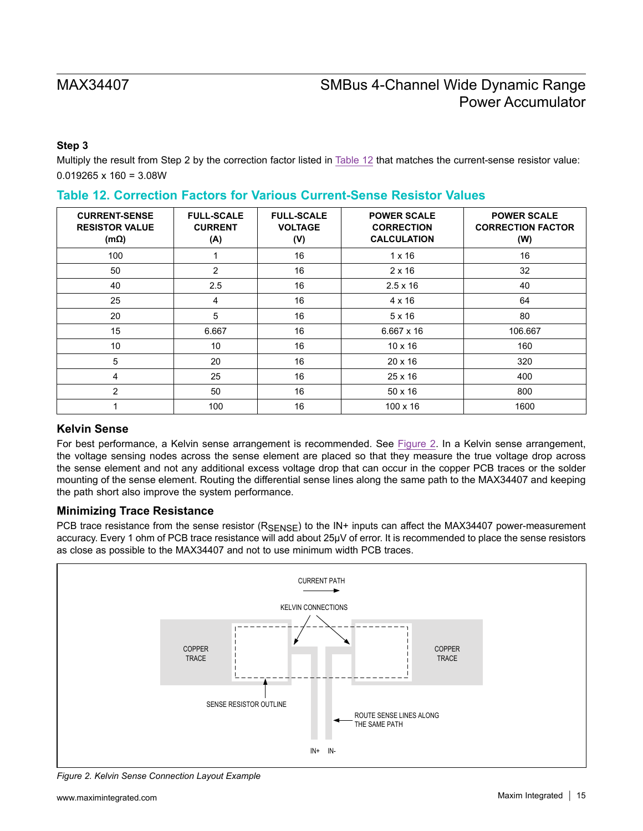### **Step 3**

Multiply the result from Step 2 by the correction factor listed in [Table 12](#page-14-0) that matches the current-sense resistor value:  $0.019265 \times 160 = 3.08W$ 

| <b>CURRENT-SENSE</b><br><b>RESISTOR VALUE</b><br>$(m\Omega)$ | <b>FULL-SCALE</b><br><b>CURRENT</b><br>(A) | <b>FULL-SCALE</b><br><b>VOLTAGE</b><br>(V) | <b>POWER SCALE</b><br><b>CORRECTION</b><br><b>CALCULATION</b> | <b>POWER SCALE</b><br><b>CORRECTION FACTOR</b><br>(W) |
|--------------------------------------------------------------|--------------------------------------------|--------------------------------------------|---------------------------------------------------------------|-------------------------------------------------------|
| 100                                                          |                                            | 16                                         | $1 \times 16$                                                 | 16                                                    |
| 50                                                           | $\overline{2}$                             | 16                                         | $2 \times 16$                                                 | 32                                                    |
| 40                                                           | 2.5                                        | 16                                         | $2.5 \times 16$                                               | 40                                                    |
| 25                                                           | 4                                          | 16                                         | $4 \times 16$                                                 | 64                                                    |
| 20                                                           | 5                                          | 16                                         | 5x16                                                          | 80                                                    |
| 15                                                           | 6.667                                      | 16                                         | $6.667 \times 16$                                             | 106.667                                               |
| 10                                                           | 10                                         | 16                                         | $10 \times 16$                                                | 160                                                   |
| 5                                                            | 20                                         | 16                                         | $20 \times 16$                                                | 320                                                   |
| 4                                                            | 25                                         | 16                                         | $25 \times 16$                                                | 400                                                   |
| $\overline{2}$                                               | 50                                         | 16                                         | $50 \times 16$                                                | 800                                                   |
|                                                              | 100                                        | 16                                         | $100 \times 16$                                               | 1600                                                  |

### <span id="page-14-0"></span>**Table 12. Correction Factors for Various Current-Sense Resistor Values**

### **Kelvin Sense**

For best performance, a Kelvin sense arrangement is recommended. See [Figure 2](#page-14-1). In a Kelvin sense arrangement, the voltage sensing nodes across the sense element are placed so that they measure the true voltage drop across the sense element and not any additional excess voltage drop that can occur in the copper PCB traces or the solder mounting of the sense element. Routing the differential sense lines along the same path to the MAX34407 and keeping the path short also improve the system performance.

### **Minimizing Trace Resistance**

PCB trace resistance from the sense resistor (RSENSE) to the IN+ inputs can affect the MAX34407 power-measurement accuracy. Every 1 ohm of PCB trace resistance will add about 25µV of error. It is recommended to place the sense resistors as close as possible to the MAX34407 and not to use minimum width PCB traces.

<span id="page-14-1"></span>

*Figure 2. Kelvin Sense Connection Layout Example*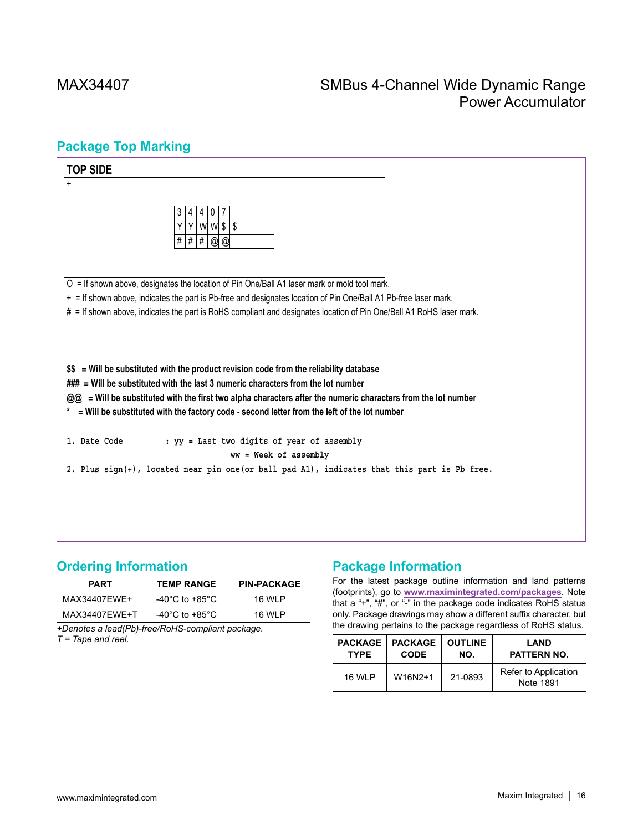## <span id="page-15-1"></span>**Package Top Marking**



## <span id="page-15-0"></span>**Ordering Information**

| <b>PART</b>   | <b>TEMP RANGE</b> | <b>PIN-PACKAGE</b> |
|---------------|-------------------|--------------------|
| MAX34407FWF+  | -40°C to +85°C    | 16 WI P            |
| MAX34407EWE+T | -40°C to +85°C    | 16 WI P            |

*+Denotes a lead(Pb)-free/RoHS-compliant package. T = Tape and reel.*

## **Package Information**

For the latest package outline information and land patterns (footprints), go to **[www.maximintegrated.com/packages](http://www.maximintegrated.com/packages)**. Note that a "+", "#", or "-" in the package code indicates RoHS status only. Package drawings may show a different suffix character, but the drawing pertains to the package regardless of RoHS status.

| <b>PACKAGE</b> | <b>PACKAGE</b> | <b>OUTLINE</b> | <b>LAND</b>                       |
|----------------|----------------|----------------|-----------------------------------|
| <b>TYPE</b>    | <b>CODE</b>    | NO.            | PATTERN NO.                       |
| 16 WI P        | W16N2+1        | 21-0893        | Refer to Application<br>Note 1891 |